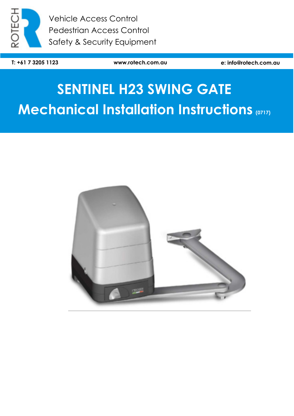

Vehicle Access Control Pedestrian Access Control Safety & Security Equipment

**T: +61 7 3205 1123 www.rotech.com.au e: info@rotech.com.au** 

# **SENTINEL H23 SWING GATE Mechanical Installation Instructions (0717)**

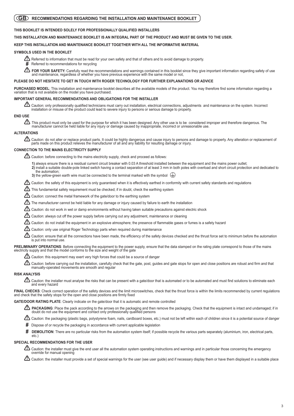# **GB** RECOMMENDATIONS REGARDING THE INSTALLATION AND MAINTENANCE BOOKLET

## **THIS BOOKLET IS INTENDED SOLELY FOR PROFESSIONALLY QUALIFIED INSTALLERS**

#### **THIS INSTALLATION AND MAINTENANCE BOOKLET IS AN INTEGRAL PART OF THE PRODUCT AND MUST BE GIVEN TO THE USER.**

## **KEEP THIS INSTALLATION AND MAINTENANCE BOOKLET TOGETHER WITH ALL THE INFORMATIVE MATERIAL**

#### **SYMBOLS USED IN THE BOOKLET**

Referred to information that must be read for your own safety and that of others and to avoid damage to property. **!**

Referred to recommendations for recycling **#**

FOR YOUR SAFETY: Carefully read the recommendations and warnings contained in this booklet since they give important information regarding safety of use and maintenance, regardless of whether you have previous experience with the same model or not, **!**

#### **PLEASE DO NOT HESITATE TO GET IN TOUCH WITH ROGER TECHNOLOGY FOR FURTHER EXPLANATIONS OR ADVICE**

PURCHASED MODEL: This installation and maintenance booklet describes all the available models of the product. You may therefore find some information regarding a variation that is not available on the model you have purchased.

#### **IMPORTANT GENERAL RECOMMENDATIONS AND OBLIGATIONS FOR THE INSTALLER**

Caution: only professionally qualified technicians must carry out installation, electrical connections, adjustments and maintenance on the system. Incorrect installation or misuse of the product could lead to severe injury to persons or serious damage to property. **!**

## **END USE**

This product must only be used for the purpose for which it has been designed. Any other use is to be considered improper and therefore dangerous. The<br>manufacturer cannot be held liable for any injury or damage caused by **!**

## **ALTERATIONS**

Caution: do not alter or replace product parts. It could be highly dangerous and cause injury to persons and damage to property. Any alteration or replacement of<br>parts made on this product relieves the manufacturer of all **!**

### **CONNECTION TO THE MAINS ELECTRICITY SUPPLY**

Caution: before connecting to the mains electricity supply, check and proceed as follows: **!**

1) always ensure there is a residual current circuit breaker with 0.03 A threshold installed between the equipment and the mains power outlet; **2)** install a suitable double-pole linked switch having a contact separation of at least 3 mm in both poles with overload and short circuit protection and dedicated to the automation:

3) the yellow-green earth wire must be connected to the terminal marked with the symbol  $\leftarrow$ 

Caution: the safety of this equipment is only guaranteed when it is effectively earthed in conformity with current safety standards and regulations **!**

 $\mathbf{\mathcal{D}}$  This fundamental safety requirement must be checked; if in doubt, check the earthing system

Caution: connect the metal framework of the gate/door to the earthing system **!**

The manufacturer cannot be held liable for any damage or injury caused by failure to earth the installation **!**

Caution: do not work in wet or damp environments without having taken suitable precautions against electric shock **!**

 $\bf{\underline{^{\prime}}}$  Caution: always cut off the power supply before carrying out any adjustment, maintenance or cleaning

 $\Lambda$  Caution: do not install the equipment in an explosive atmosphere; the presence of flammable gases or fumes is a safety hazard

 ${\bf \underline{^{\prime}}}$  Caution: only use original Roger Technology parts when required during maintenance

Caution: ensure that all the connections have been made, the efficiency of the safety devices checked and the thrust force set to minimum before the automation is put into normal use. **!**

**PRELIMINARY OPERATIONS:** Before connecting the equipment to the power supply, ensure that the data stamped on the rating plate correspond to those of the mains electricity supply and that the model conforms to the size and weight of the gate

 $\bf{?}$  Caution: this equipment may exert very high forces that could be a source of danger

 $\Delta$  Caution: before carrying out the installation, carefully check that the gate, post, guides and gate stops for open and close positions are robust and firm and that manually-operated movements are smooth and regular

#### **RISK ANALYSIS**

 $\bf{\underline{n}}$  Caution: the installer must analyse the risks that can be present with a gate/door that is automated or to be automated and must find solutions to eliminate each and every hazard

FINAL CHECKS: Check correct operation of the safety devices and the limit microswitches, check that the thrust force is within the limits recommended by current regulations and check that the safety stops for the open and close positions are firmly fixed

**GATE/DOOR RATING PLATE**: Clearly indicate on the gate/door that it is automatic and remote controlled

**PACKAGING**: Place the pack according to the arrows on the packaging and then remove the packaging. Check that the equipment is intact and undamaged; if in<br>doubt do not use the equipment and contact only professionally qua **!**

Caution: the packaging (plastic bags, polystyrene foam, nails, cardboard boxes, etc.) must not be left within each of children since it is a potential source of danger **!**

Dispose of or recycle the packaging in accordance with current applicable legislation **#**

DEMOLITION: There are no particular risks from the automation system itself; if possible recycle the various parts separately (aluminium, iron, electrical parts, etc.) **#**

#### **SPECIAL RECOMMENDATIONS FOR THE USER**

 $\Delta$  Caution: the installer must give the end user all the automation system operating instructions and warnings and in particular those concerning the emergency override for manual opening

Caution: the installer must provide a set of special warnings for the user (see user guide) and if necessary display them or have them displayed in a suitable place **!**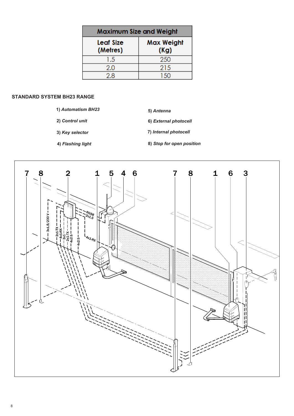| Maximum Size and Weight |                           |
|-------------------------|---------------------------|
| Leaf Size<br>(Metres)   | <b>Max Weight</b><br>(Kg) |
| 1.5                     | 250                       |
| 2.0                     | 215                       |
| 2.8                     | 150                       |

# **STANDARD SYSTEM BH23 RANGE**

- **1)** *Automatism BH23*
- **2)** *Control unit* **6)** *External photocell*
- **3)** *Key selector*
- **4)** *Flashing light*

**8)** *Stop for open position*

**7)** *Internal photocell*

**5)** *Antenna*

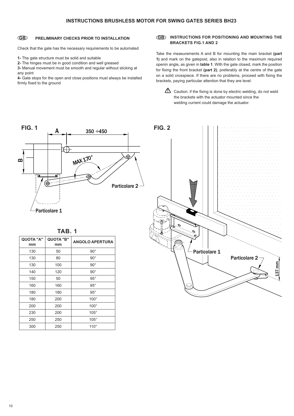## **GB** PRELIMINARY CHECKS PRIOR TO INSTALLATION

Check that the gate has the necessary requirements to be automated

**1-** The gate structure must be solid and suitable

**2-** The hinges must be in good condition and well greased

250 250 105° 300 250 110°

**3-** Manual movement must be smooth and regular without sticking at any point

**4-** Gate stops for the open and close positions must always be installed firmly fixed to the ground

### **GB INSTRUCTIONS FOR POSITIONING AND MOUNTING THE GB BRACKETS FIG.1 AND 2**

Take the measurements A and B for mounting the main bracket **(part 1)** and mark on the gatepost, also in relation to the maximum required openin angle, as given in **table 1**. With the gate closed, mark the position for fixing the front bracket (part 2), preferably at the centre of the gate on a solid crosspiece. If there are no problems, proceed with fixing the brackets, paying particular attention that they are level.

 $\sum$  Caution: if the fixing is done by electric welding, do not weld the brackets with the actuator mounted since the welding current could damage the actuator.

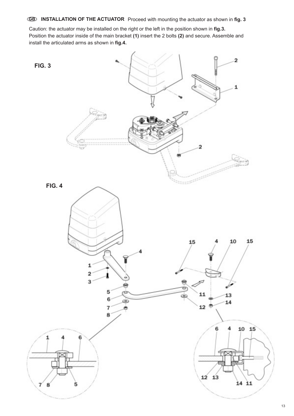**GB** INSTALLATION OF THE ACTUATOR Proceed with mounting the actuator as shown in fig. 3

Caution: the actuator may be installed on the right or the left in the position shown in **fig.3.** Position the actuator inside of the main bracket (1) insert the 2 bolts (2) and secure. Assemble and install the articulated arms as shown in **fig.4.**

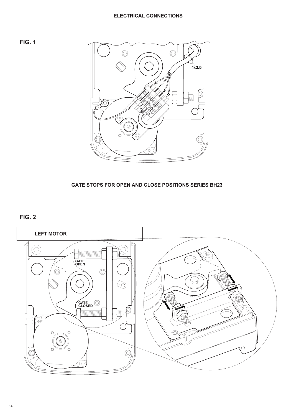# **ELECTRICAL CONNECTIONS**





**GATE STOPS FOR OPEN AND CLOSE POSITIONS SERIES BH23**